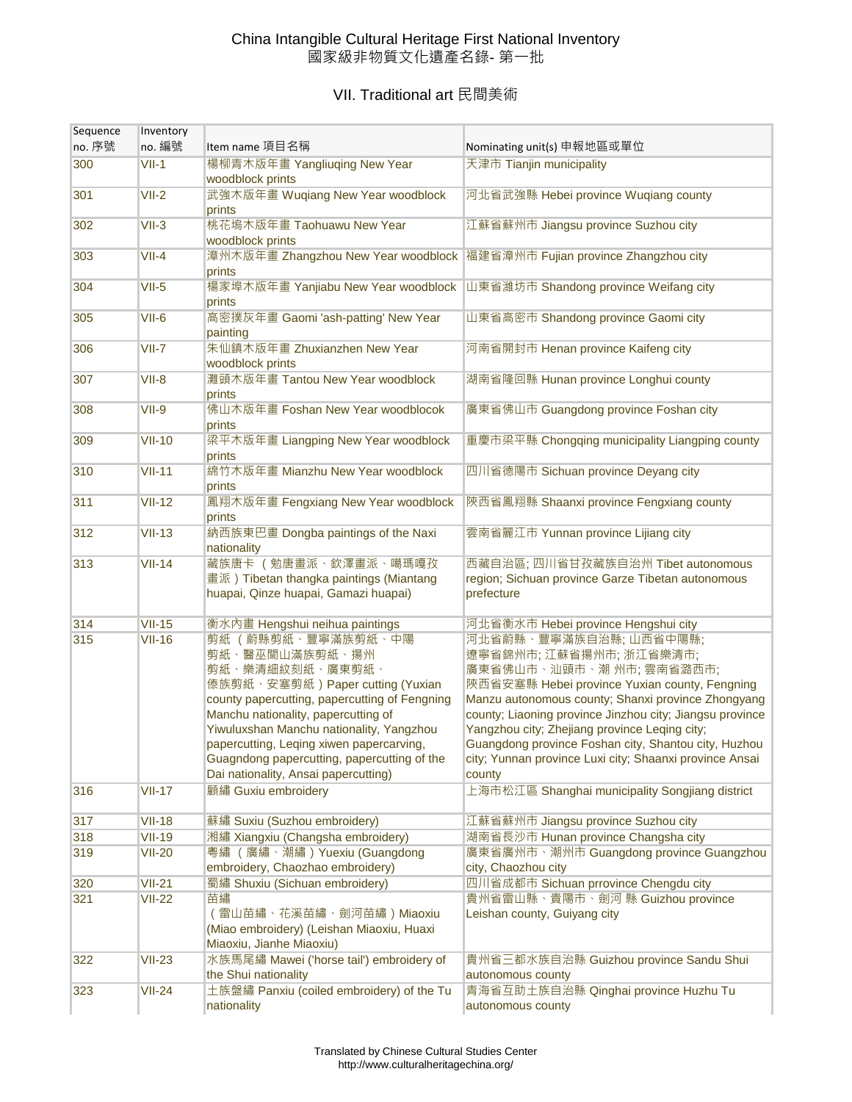## China Intangible Cultural Heritage First National Inventory 國家級非物質文化遺產名錄- 第一批

## VII. Traditional art 民間美術

| Sequence<br>no. 序號 | Inventory<br>no. 編號 | Item name 項目名稱                                                                                                                                                                                                                                                                                                                                                    | Nominating unit(s) 申報地區或單位                                                                                                                                                                                                                                                                                                                                                                                                   |
|--------------------|---------------------|-------------------------------------------------------------------------------------------------------------------------------------------------------------------------------------------------------------------------------------------------------------------------------------------------------------------------------------------------------------------|------------------------------------------------------------------------------------------------------------------------------------------------------------------------------------------------------------------------------------------------------------------------------------------------------------------------------------------------------------------------------------------------------------------------------|
| 300                | $VII-1$             | 楊柳青木版年畫 Yangliuqing New Year                                                                                                                                                                                                                                                                                                                                      | 天津市 Tianjin municipality                                                                                                                                                                                                                                                                                                                                                                                                     |
|                    |                     | woodblock prints                                                                                                                                                                                                                                                                                                                                                  |                                                                                                                                                                                                                                                                                                                                                                                                                              |
| 301                | $VII-2$             | 武強木版年畫 Wuqiang New Year woodblock<br>prints                                                                                                                                                                                                                                                                                                                       | 河北省武強縣 Hebei province Wuqiang county                                                                                                                                                                                                                                                                                                                                                                                         |
| 302                | $VII-3$             | 桃花塢木版年畫 Taohuawu New Year<br>woodblock prints                                                                                                                                                                                                                                                                                                                     | 江蘇省蘇州市 Jiangsu province Suzhou city                                                                                                                                                                                                                                                                                                                                                                                          |
| 303                | $VII-4$             | 漳州木版年畫 Zhangzhou New Year woodblock 福建省漳州市 Fujian province Zhangzhou city<br>prints                                                                                                                                                                                                                                                                               |                                                                                                                                                                                                                                                                                                                                                                                                                              |
| 304                | $VII-5$             | prints                                                                                                                                                                                                                                                                                                                                                            | 楊家埠木版年畫 Yanjiabu New Year woodblock 山東省濰坊市 Shandong province Weifang city                                                                                                                                                                                                                                                                                                                                                    |
| 305                | $VII-6$             | 高密撲灰年畫 Gaomi 'ash-patting' New Year<br>painting                                                                                                                                                                                                                                                                                                                   | 山東省高密市 Shandong province Gaomi city                                                                                                                                                                                                                                                                                                                                                                                          |
| 306                | $VII-7$             | 朱仙鎮木版年畫 Zhuxianzhen New Year<br>woodblock prints                                                                                                                                                                                                                                                                                                                  | 河南省開封市 Henan province Kaifeng city                                                                                                                                                                                                                                                                                                                                                                                           |
| 307                | $VII-8$             | 灘頭木版年畫 Tantou New Year woodblock<br>prints                                                                                                                                                                                                                                                                                                                        | 湖南省隆回縣 Hunan province Longhui county                                                                                                                                                                                                                                                                                                                                                                                         |
| 308                | VII-9               | 佛山木版年畫 Foshan New Year woodblocok<br>prints                                                                                                                                                                                                                                                                                                                       | 廣東省佛山市 Guangdong province Foshan city                                                                                                                                                                                                                                                                                                                                                                                        |
| 309                | $VII-10$            | 梁平木版年畫 Liangping New Year woodblock<br>prints                                                                                                                                                                                                                                                                                                                     | 重慶市梁平縣 Chongqing municipality Liangping county                                                                                                                                                                                                                                                                                                                                                                               |
| 310                | $VII-11$            | 綿竹木版年畫 Mianzhu New Year woodblock<br>prints                                                                                                                                                                                                                                                                                                                       | 四川省德陽市 Sichuan province Deyang city                                                                                                                                                                                                                                                                                                                                                                                          |
| 311                | $VII-12$            | 鳳翔木版年畫 Fengxiang New Year woodblock<br>prints                                                                                                                                                                                                                                                                                                                     | 陝西省鳳翔縣 Shaanxi province Fengxiang county                                                                                                                                                                                                                                                                                                                                                                                     |
| 312                | $VII-13$            | 納西族東巴畫 Dongba paintings of the Naxi<br>nationality                                                                                                                                                                                                                                                                                                                | 雲南省麗江市 Yunnan province Lijiang city                                                                                                                                                                                                                                                                                                                                                                                          |
| 313                | $VII-14$            | 藏族唐卡 (勉唐畫派、欽澤畫派、噶瑪嘎孜<br>畫派) Tibetan thangka paintings (Miantang<br>huapai, Qinze huapai, Gamazi huapai)                                                                                                                                                                                                                                                           | 西藏自治區; 四川省甘孜藏族自治州 Tibet autonomous<br>region; Sichuan province Garze Tibetan autonomous<br>prefecture                                                                                                                                                                                                                                                                                                                        |
| 314                | $VII-15$            | 衡水內畫 Hengshui neihua paintings                                                                                                                                                                                                                                                                                                                                    | 河北省衡水市 Hebei province Hengshui city                                                                                                                                                                                                                                                                                                                                                                                          |
| 315                | $VII-16$            | 剪紙 (蔚縣剪紙、豐寧滿族剪紙、中陽<br>剪紙、醫巫閭山滿族剪紙、揚州<br>剪紙、樂清細紋刻紙、廣東剪紙、<br>傣族剪紙、安塞剪紙)Paper cutting (Yuxian<br>county papercutting, papercutting of Fengning<br>Manchu nationality, papercutting of<br>Yiwuluxshan Manchu nationality, Yangzhou<br>papercutting, Leqing xiwen papercarving,<br>Guagndong papercutting, papercutting of the<br>Dai nationality, Ansai papercutting) | 河北省蔚縣、豐寧滿族自治縣; 山西省中陽縣;<br>遼寧省錦州市;江蘇省揚州市;浙江省樂清市;<br>廣東省佛山市、汕頭市、潮 州市; 雲南省潞西市;<br>陝西省安塞縣 Hebei province Yuxian county, Fengning<br>Manzu autonomous county; Shanxi province Zhongyang<br>county; Liaoning province Jinzhou city; Jiangsu province<br>Yangzhou city; Zhejiang province Leqing city;<br>Guangdong province Foshan city, Shantou city, Huzhou<br>city; Yunnan province Luxi city; Shaanxi province Ansai<br>county |
| 316                | $VII-17$            | 顧繡 Guxiu embroidery                                                                                                                                                                                                                                                                                                                                               | 上海市松江區 Shanghai municipality Songjiang district                                                                                                                                                                                                                                                                                                                                                                              |
| 317                | <b>VII-18</b>       | 蘇繡 Suxiu (Suzhou embroidery)                                                                                                                                                                                                                                                                                                                                      | 江蘇省蘇州市 Jiangsu province Suzhou city                                                                                                                                                                                                                                                                                                                                                                                          |
| 318                | <b>VII-19</b>       | 湘繡 Xiangxiu (Changsha embroidery)                                                                                                                                                                                                                                                                                                                                 | 湖南省長沙市 Hunan province Changsha city                                                                                                                                                                                                                                                                                                                                                                                          |
| 319                | <b>VII-20</b>       | 粤繡 (廣繡、潮繡) Yuexiu (Guangdong<br>embroidery, Chaozhao embroidery)                                                                                                                                                                                                                                                                                                  | 廣東省廣州市、潮州市 Guangdong province Guangzhou<br>city, Chaozhou city                                                                                                                                                                                                                                                                                                                                                               |
| 320                | $VII-21$            | 蜀繡 Shuxiu (Sichuan embroidery)                                                                                                                                                                                                                                                                                                                                    | 四川省成都市 Sichuan prrovince Chengdu city                                                                                                                                                                                                                                                                                                                                                                                        |
| 321                | <b>VII-22</b>       | 苗繡<br>(雷山苗繡、花溪苗繡、劍河苗繡) Miaoxiu<br>(Miao embroidery) (Leishan Miaoxiu, Huaxi<br>Miaoxiu, Jianhe Miaoxiu)                                                                                                                                                                                                                                                           | 貴州省雷山縣、貴陽市、劍河 縣 Guizhou province<br>Leishan county, Guiyang city                                                                                                                                                                                                                                                                                                                                                             |
| 322                | $VII-23$            | 水族馬尾繡 Mawei ('horse tail') embroidery of<br>the Shui nationality                                                                                                                                                                                                                                                                                                  | 貴州省三都水族自治縣 Guizhou province Sandu Shui<br>autonomous county                                                                                                                                                                                                                                                                                                                                                                  |
| 323                | $VII-24$            | 土族盤繡 Panxiu (coiled embroidery) of the Tu<br>nationality                                                                                                                                                                                                                                                                                                          | 青海省互助土族自治縣 Qinghai province Huzhu Tu<br>autonomous county                                                                                                                                                                                                                                                                                                                                                                    |